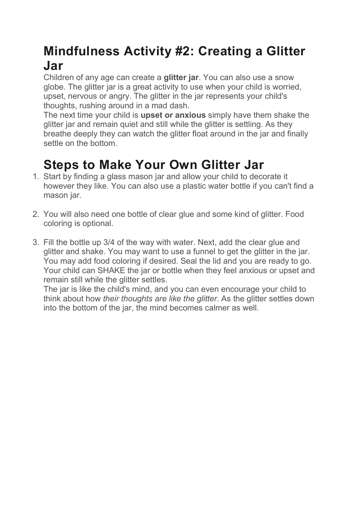## Mindfulness Activity #2: Creating a Glitter Jar

Children of any age can create a **glitter jar**. You can also use a snow globe. The glitter jar is a great activity to use when your child is worried, upset, nervous or angry. The glitter in the jar represents your child's thoughts, rushing around in a mad dash.

The next time your child is upset or anxious simply have them shake the glitter jar and remain quiet and still while the glitter is settling. As they breathe deeply they can watch the glitter float around in the jar and finally settle on the bottom.

## Steps to Make Your Own Glitter Jar

- 1. Start by finding a glass mason jar and allow your child to decorate it however they like. You can also use a plastic water bottle if you can't find a mason jar.
- 2. You will also need one bottle of clear glue and some kind of glitter. Food coloring is optional.
- 3. Fill the bottle up 3/4 of the way with water. Next, add the clear glue and glitter and shake. You may want to use a funnel to get the glitter in the jar. You may add food coloring if desired. Seal the lid and you are ready to go. Your child can SHAKE the jar or bottle when they feel anxious or upset and remain still while the glitter settles.

The jar is like the child's mind, and you can even encourage your child to think about how their thoughts are like the glitter. As the glitter settles down into the bottom of the jar, the mind becomes calmer as well.